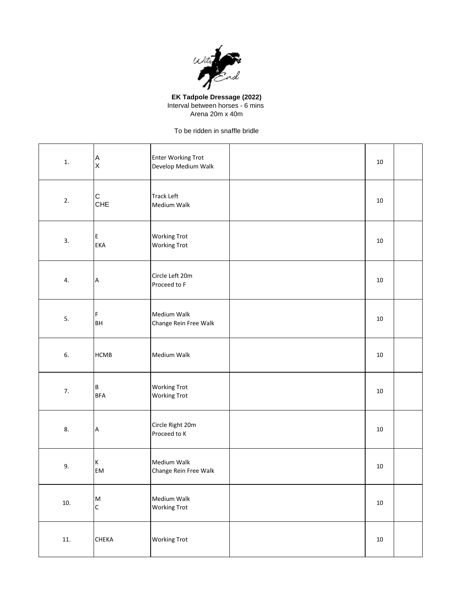

**EK Tadpole Dressage (2022)** Interval between horses - 6 mins Arena 20m x 40m

To be ridden in snaffle bridle

| 1.    | $\frac{A}{X}$              | <b>Enter Working Trot</b><br>Develop Medium Walk | 10     |  |
|-------|----------------------------|--------------------------------------------------|--------|--|
| 2.    | $\mathsf{C}$<br><b>CHE</b> | <b>Track Left</b><br>Medium Walk                 | 10     |  |
| 3.    | Е<br><b>EKA</b>            | <b>Working Trot</b><br><b>Working Trot</b>       | 10     |  |
| 4.    | $\boldsymbol{\mathsf{A}}$  | Circle Left 20m<br>Proceed to F                  | 10     |  |
| 5.    | F<br>BH                    | Medium Walk<br>Change Rein Free Walk             | 10     |  |
| 6.    | <b>HCMB</b>                | Medium Walk                                      | 10     |  |
| 7.    | B<br><b>BFA</b>            | <b>Working Trot</b><br><b>Working Trot</b>       | 10     |  |
| 8.    | $\boldsymbol{\mathsf{A}}$  | Circle Right 20m<br>Proceed to K                 | 10     |  |
| 9.    | $\mathsf K$<br>EM          | Medium Walk<br>Change Rein Free Walk             | 10     |  |
| 10.   | ${\sf M}$<br>$\mathsf{C}$  | Medium Walk<br><b>Working Trot</b>               | $10\,$ |  |
| $11.$ | <b>CHEKA</b>               | <b>Working Trot</b>                              | $10\,$ |  |